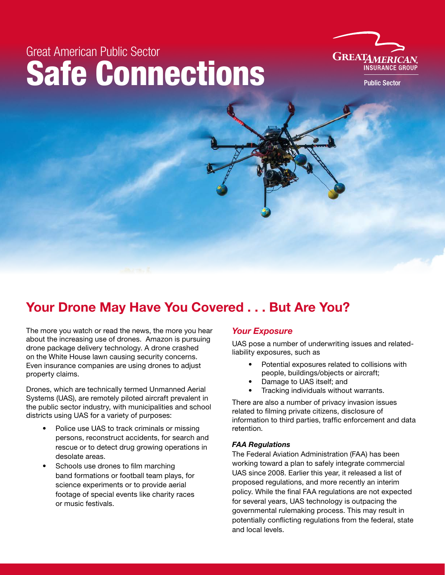# Great American Public Sector Safe Connections



**Public Sector** 

# Your Drone May Have You Covered . . . But Are You?

The more you watch or read the news, the more you hear about the increasing use of drones. Amazon is pursuing drone package delivery technology. A drone crashed on the White House lawn causing security concerns. Even insurance companies are using drones to adjust property claims.

Drones, which are technically termed Unmanned Aerial Systems (UAS), are remotely piloted aircraft prevalent in the public sector industry, with municipalities and school districts using UAS for a variety of purposes:

- Police use UAS to track criminals or missing persons, reconstruct accidents, for search and rescue or to detect drug growing operations in desolate areas.
- Schools use drones to film marching band formations or football team plays, for science experiments or to provide aerial footage of special events like charity races or music festivals.

# *Your Exposure*

UAS pose a number of underwriting issues and relatedliability exposures, such as

- Potential exposures related to collisions with people, buildings/objects or aircraft;
- Damage to UAS itself; and
- Tracking individuals without warrants.

There are also a number of privacy invasion issues related to filming private citizens, disclosure of information to third parties, traffic enforcement and data retention.

## *FAA Regulations*

The Federal Aviation Administration (FAA) has been working toward a plan to safely integrate commercial UAS since 2008. Earlier this year, it released a list of proposed regulations, and more recently an interim policy. While the final FAA regulations are not expected for several years, UAS technology is outpacing the governmental rulemaking process. This may result in potentially conflicting regulations from the federal, state and local levels.